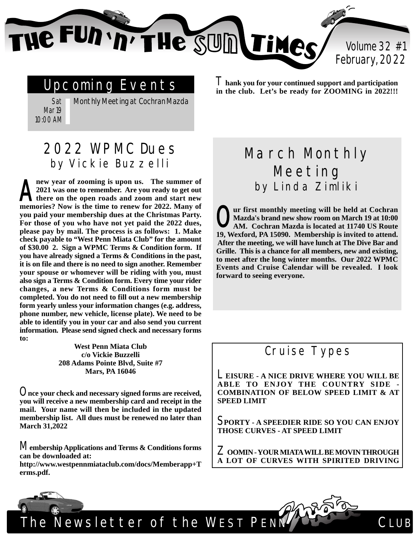e FUN 'n' THe SUIN TiMe

Volume 32 #1 February, 2022

## Upcoming Events

Sat Mar 19 10:00 AM

Monthly Meeting at Cochran Mazda

### 2022 WPMC Dues by Vickie Buzzelli

**new year of zooming is upon us. The summer of 2021 was one to remember. Are you ready to get out there on the open roads and zoom and start new memories? Now is the time to renew for 2022. Many of you paid your membership dues at the Christmas Party. For those of you who have not yet paid the 2022 dues, please pay by mail. The process is as follows: 1. Make check payable to "West Penn Miata Club" for the amount of \$30.00 2. Sign a WPMC Terms & Condition form. If you have already signed a Terms & Conditions in the past, it is on file and there is no need to sign another. Remember your spouse or whomever will be riding with you, must also sign a Terms & Condition form. Every time your rider changes, a new Terms & Conditions form must be completed. You do not need to fill out a new membership form yearly unless your information changes (e.g. address, phone number, new vehicle, license plate). We need to be able to identify you in your car and also send you current information. Please send signed check and necessary forms to:**  $\mathbf{A}^{\frac{\mathbf{n}}{2}}$ 

> **West Penn Miata Club c/o Vickie Buzzelli 208 Adams Pointe Blvd, Suite #7 Mars, PA 16046**

O**nce your check and necessary signed forms are received, you will receive a new membership card and receipt in the mail. Your name will then be included in the updated membership list. All dues must be renewed no later than March 31,2022**

M**embership Applications and Terms & Conditions forms can be downloaded at:**

**http://www.westpennmiataclub.com/docs/Memberapp+T erms.pdf.**

T**hank you for your continued support and participation in the club. Let's be ready for ZOOMING in 2022!!!**

# March Monthly Meeting by Linda Zimliki

**ur first monthly meeting will be held at Cochran Mazda's brand new show room on March 19 at 10:00 AM. Cochran Mazda is located at 11740 US Route 19, Wexford, PA 15090. Membership is invited to attend. After the meeting, we will have lunch at The Dive Bar and Grille. This is a chance for all members, new and existing, to meet after the long winter months. Our 2022 WPMC Events and Cruise Calendar will be revealed. I look forward to seeing everyone.**  $\mathbf{O}_{\scriptscriptstyle{A}}^{\scriptscriptstyle{\mathrm{u}}}$ 

### Cruise Types

L**EISURE - A NICE DRIVE WHERE YOU WILL BE ABLE TO ENJOY THE COUNTRY SIDE - COMBINATION OF BELOW SPEED LIMIT & AT SPEED LIMIT**

S**PORTY - A SPEEDIER RIDE SO YOU CAN ENJOY THOSE CURVES - AT SPEED LIMIT**

Z**OOMIN - YOUR MIATA WILL BE MOVIN THROUGH A LOT OF CURVES WITH SPIRITED DRIVING**

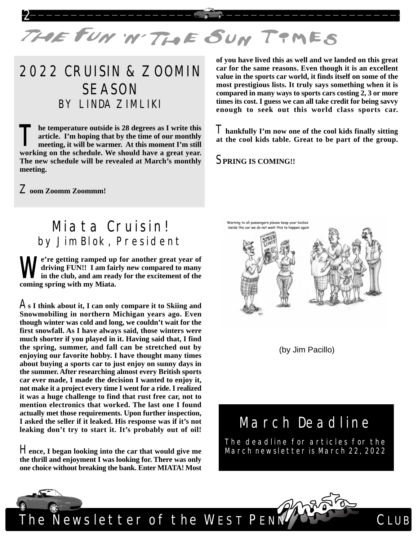

# 2022 CRUISIN & ZOOMIN SEASON BY LINDA ZIMLIKI

**he temperature outside is 28 degrees as I write this article. I'm hoping that by the time of our monthly meeting, it will be warmer. At this moment I'm still working on the schedule. We should have a great year. The new schedule will be revealed at March's monthly meeting.**  $\prod_{n}$ 

**of you have lived this as well and we landed on this great car for the same reasons. Even though it is an excellent value in the sports car world, it finds itself on some of the most prestigious lists. It truly says something when it is compared in many ways to sports cars costing 2, 3 or more times its cost. I guess we can all take credit for being savvy enough to seek out this world class sports car.**

T**hankfully I'm now one of the cool kids finally sitting at the cool kids table. Great to be part of the group.**

S**PRING IS COMING!!**

Z**oom Zoomm Zoommm!**

### Miata Cruisin! by Jim Blok, President

**e're getting ramped up for another great year of driving FUN!! I am fairly new compared to many in the club, and am ready for the excitement of the coming spring with my Miata.**  $\mathbf{W}_{\scriptscriptstyle{\mathsf{in}}}^{\scriptscriptstyle{\mathsf{e}}}$ 

A**s I think about it, I can only compare it to Skiing and Snowmobiling in northern Michigan years ago. Even though winter was cold and long, we couldn't wait for the first snowfall. As I have always said, those winters were much shorter if you played in it. Having said that, I find the spring, summer, and fall can be stretched out by enjoying our favorite hobby. I have thought many times about buying a sports car to just enjoy on sunny days in the summer. After researching almost every British sports car ever made, I made the decision I wanted to enjoy it, not make it a project every time I went for a ride. I realized it was a huge challenge to find that rust free car, not to mention electronics that worked. The last one I found actually met those requirements. Upon further inspection, I asked the seller if it leaked. His response was if it's not leaking don't try to start it. It's probably out of oil!**

H**ence, I began looking into the car that would give me the thrill and enjoyment I was looking for. There was only one choice without breaking the bank. Enter MIATA! Most**



(by Jim Pacillo)

## March Deadline

The deadline for articles for the March newsletter is March 22, 2022





The Newsletter of the WEST PENN CLUB